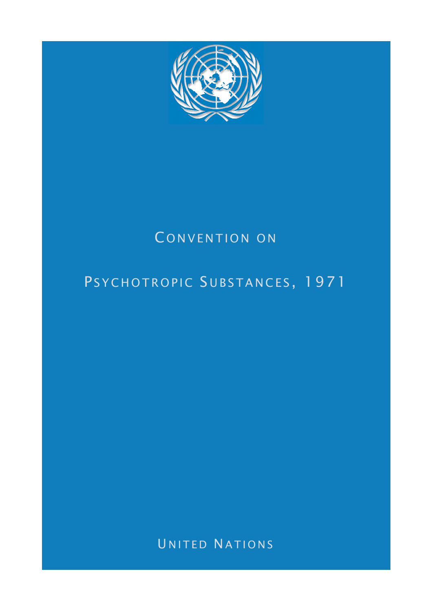

# C ONVENTION ON

# PSYCHOTROPIC SUBSTANCES, 1971

UNITED NATIONS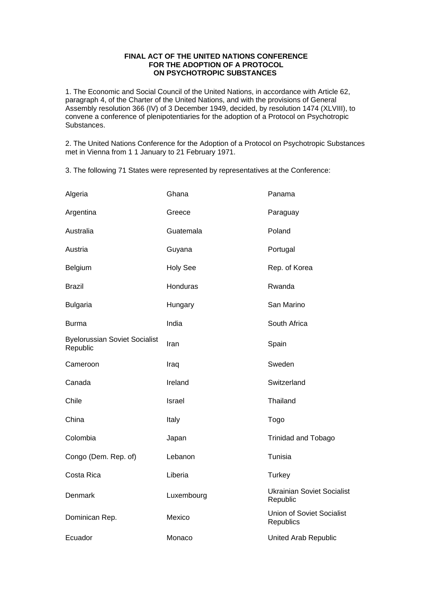# **FINAL ACT OF THE UNITED NATIONS CONFERENCE FOR THE ADOPTION OF A PROTOCOL ON PSYCHOTROPIC SUBSTANCES**

1. The Economic and Social Council of the United Nations, in accordance with Article 62, paragraph 4, of the Charter of the United Nations, and with the provisions of General Assembly resolution 366 (IV) of 3 December 1949, decided, by resolution 1474 (XLVIII), to convene a conference of plenipotentiaries for the adoption of a Protocol on Psychotropic Substances.

2. The United Nations Conference for the Adoption of a Protocol on Psychotropic Substances met in Vienna from 1 1 January to 21 February 1971.

|  |  | 3. The following 71 States were represented by representatives at the Conference: |
|--|--|-----------------------------------------------------------------------------------|
|--|--|-----------------------------------------------------------------------------------|

| Algeria                                          | Ghana           | Panama                                        |
|--------------------------------------------------|-----------------|-----------------------------------------------|
| Argentina                                        | Greece          | Paraguay                                      |
| Australia                                        | Guatemala       | Poland                                        |
| Austria                                          | Guyana          | Portugal                                      |
| Belgium                                          | <b>Holy See</b> | Rep. of Korea                                 |
| <b>Brazil</b>                                    | Honduras        | Rwanda                                        |
| <b>Bulgaria</b>                                  | Hungary         | San Marino                                    |
| <b>Burma</b>                                     | India           | South Africa                                  |
| <b>Byelorussian Soviet Socialist</b><br>Republic | Iran            | Spain                                         |
| Cameroon                                         | Iraq            | Sweden                                        |
| Canada                                           | Ireland         | Switzerland                                   |
| Chile                                            | Israel          | Thailand                                      |
| China                                            | Italy           | Togo                                          |
| Colombia                                         | Japan           | <b>Trinidad and Tobago</b>                    |
| Congo (Dem. Rep. of)                             | Lebanon         | Tunisia                                       |
| Costa Rica                                       | Liberia         | <b>Turkey</b>                                 |
| Denmark                                          | Luxembourg      | <b>Ukrainian Soviet Socialist</b><br>Republic |
| Dominican Rep.                                   | Mexico          | Union of Soviet Socialist<br>Republics        |
| Ecuador                                          | Monaco          | United Arab Republic                          |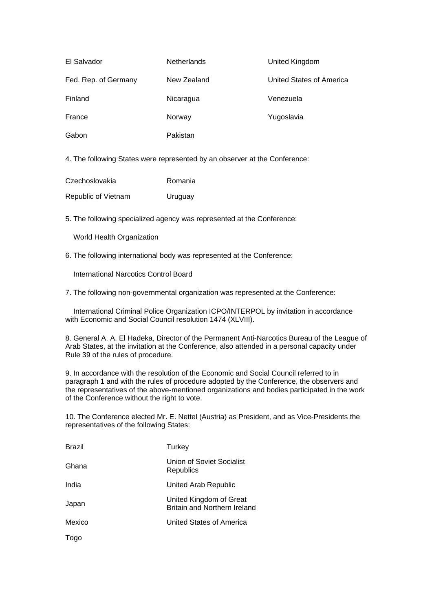| El Salvador          | <b>Netherlands</b> | United Kingdom           |
|----------------------|--------------------|--------------------------|
| Fed. Rep. of Germany | New Zealand        | United States of America |
| Finland              | Nicaragua          | Venezuela                |
| France               | Norway             | Yugoslavia               |
| Gabon                | Pakistan           |                          |

4. The following States were represented by an observer at the Conference:

| Czechoslovakia      | Romania |
|---------------------|---------|
| Republic of Vietnam | Uruguay |

5. The following specialized agency was represented at the Conference:

World Health Organization

6. The following international body was represented at the Conference:

International Narcotics Control Board

7. The following non-governmental organization was represented at the Conference:

 International Criminal Police Organization ICPO/INTERPOL by invitation in accordance with Economic and Social Council resolution 1474 (XLVIII).

8. General A. A. El Hadeka, Director of the Permanent Anti-Narcotics Bureau of the League of Arab States, at the invitation at the Conference, also attended in a personal capacity under Rule 39 of the rules of procedure.

9. In accordance with the resolution of the Economic and Social Council referred to in paragraph 1 and with the rules of procedure adopted by the Conference, the observers and the representatives of the above-mentioned organizations and bodies participated in the work of the Conference without the right to vote.

10. The Conference elected Mr. E. Nettel (Austria) as President, and as Vice-Presidents the representatives of the following States:

| <b>Brazil</b> | Turkey                                                  |
|---------------|---------------------------------------------------------|
| Ghana         | Union of Soviet Socialist<br>Republics                  |
| India         | United Arab Republic                                    |
| Japan         | United Kingdom of Great<br>Britain and Northern Ireland |
| Mexico        | United States of America                                |
| Togo          |                                                         |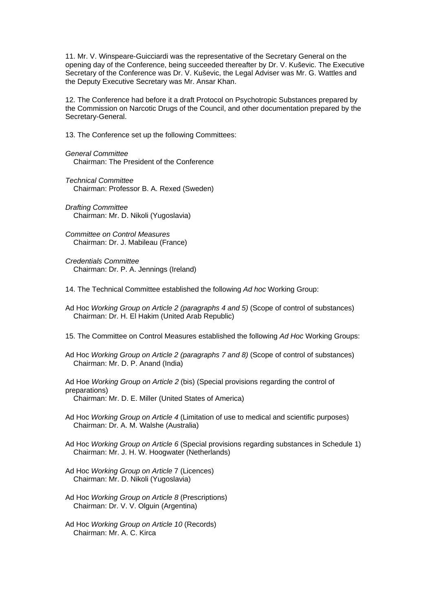11. Mr. V. Winspeare-Guicciardi was the representative of the Secretary General on the opening day of the Conference, being succeeded thereafter by Dr. V. Kuševic. The Executive Secretary of the Conference was Dr. V. Kuševic, the Legal Adviser was Mr. G. Wattles and the Deputy Executive Secretary was Mr. Ansar Khan.

12. The Conference had before it a draft Protocol on Psychotropic Substances prepared by the Commission on Narcotic Drugs of the Council, and other documentation prepared by the Secretary-General.

13. The Conference set up the following Committees:

*General Committee* Chairman: The President of the Conference

*Technical Committee* Chairman: Professor B. A. Rexed (Sweden)

*Drafting Committee* Chairman: Mr. D. Nikoli (Yugoslavia)

*Committee on Control Measures* Chairman: Dr. J. Mabileau (France)

*Credentials Committee* Chairman: Dr. P. A. Jennings (Ireland)

14. The Technical Committee established the following *Ad hoc* Working Group:

Ad Hoc *Working Group on Article 2 (paragraphs 4 and 5)* (Scope of control of substances) Chairman: Dr. H. El Hakim (United Arab Republic)

15. The Committee on Control Measures established the following *Ad Hoc* Working Groups:

Ad Hoc *Working Group on Article 2 (paragraphs 7 and 8)* (Scope of control of substances) Chairman: Mr. D. P. Anand (India)

Ad Hoe *Working Group on Article 2* (bis) (Special provisions regarding the control of preparations) Chairman: Mr. D. E. Miller (United States of America)

Ad Hoc *Working Group on Article 4* (Limitation of use to medical and scientific purposes) Chairman: Dr. A. M. Walshe (Australia)

Ad Hoc *Working Group on Article 6* (Special provisions regarding substances in Schedule 1) Chairman: Mr. J. H. W. Hoogwater (Netherlands)

Ad Hoc *Working Group on Article* 7 (Licences) Chairman: Mr. D. Nikoli (Yugoslavia)

Ad Hoc *Working Group on Article 8* (Prescriptions) Chairman: Dr. V. V. Olguin (Argentina)

Ad Hoc *Working Group on Article 10* (Records) Chairman: Mr. A. C. Kirca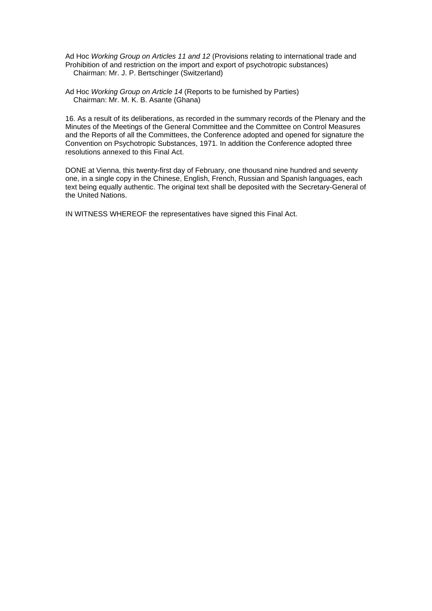Ad Hoc *Working Group on Articles 11 and 12* (Provisions relating to international trade and Prohibition of and restriction on the import and export of psychotropic substances) Chairman: Mr. J. P. Bertschinger (Switzerland)

Ad Hoc *Working Group on Article 14* (Reports to be furnished by Parties) Chairman: Mr. M. K. B. Asante (Ghana)

16. As a result of its deliberations, as recorded in the summary records of the Plenary and the Minutes of the Meetings of the General Committee and the Committee on Control Measures and the Reports of all the Committees, the Conference adopted and opened for signature the Convention on Psychotropic Substances, 1971. In addition the Conference adopted three resolutions annexed to this Final Act.

DONE at Vienna, this twenty-first day of February, one thousand nine hundred and seventy one, in a single copy in the Chinese, English, French, Russian and Spanish languages, each text being equally authentic. The original text shall be deposited with the Secretary-General of the United Nations.

IN WITNESS WHEREOF the representatives have signed this Final Act.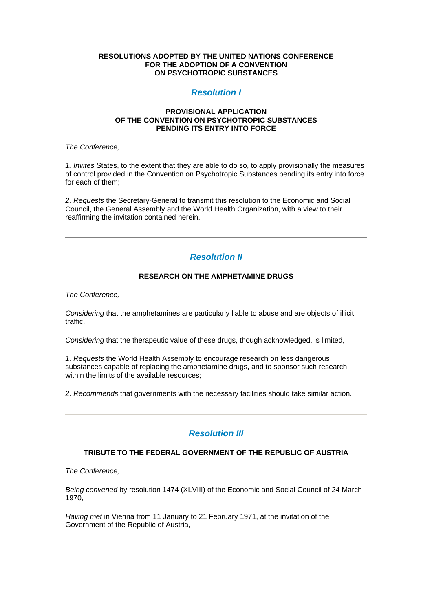# **RESOLUTIONS ADOPTED BY THE UNITED NATIONS CONFERENCE FOR THE ADOPTION OF A CONVENTION ON PSYCHOTROPIC SUBSTANCES**

# *Resolution I*

# **PROVISIONAL APPLICATION OF THE CONVENTION ON PSYCHOTROPIC SUBSTANCES PENDING ITS ENTRY INTO FORCE**

*The Conference,*

*1. Invites* States, to the extent that they are able to do so, to apply provisionally the measures of control provided in the Convention on Psychotropic Substances pending its entry into force for each of them;

*2. Requests* the Secretary-General to transmit this resolution to the Economic and Social Council, the General Assembly and the World Health Organization, with a view to their reaffirming the invitation contained herein.

# *Resolution II*

# **RESEARCH ON THE AMPHETAMINE DRUGS**

*The Conference,*

*Considering* that the amphetamines are particularly liable to abuse and are objects of illicit traffic,

*Considering* that the therapeutic value of these drugs, though acknowledged, is limited,

*1. Requests* the World Health Assembly to encourage research on less dangerous substances capable of replacing the amphetamine drugs, and to sponsor such research within the limits of the available resources;

*2. Recommends* that governments with the necessary facilities should take similar action.

# *Resolution III*

# **TRIBUTE TO THE FEDERAL GOVERNMENT OF THE REPUBLIC OF AUSTRIA**

*The Conference,*

*Being convened* by resolution 1474 (XLVIII) of the Economic and Social Council of 24 March 1970,

*Having met* in Vienna from 11 January to 21 February 1971, at the invitation of the Government of the Republic of Austria,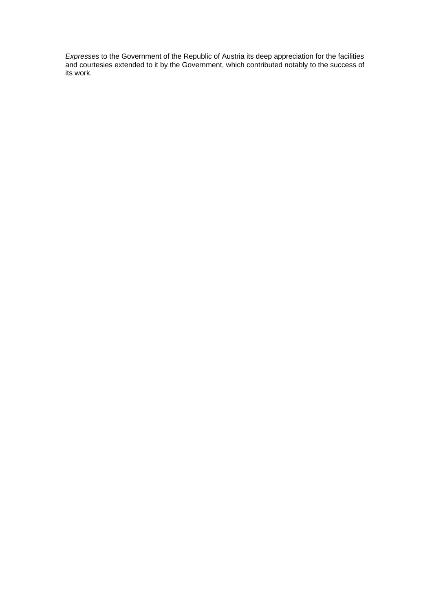*Expresses* to the Government of the Republic of Austria its deep appreciation for the facilities and courtesies extended to it by the Government, which contributed notably to the success of its work.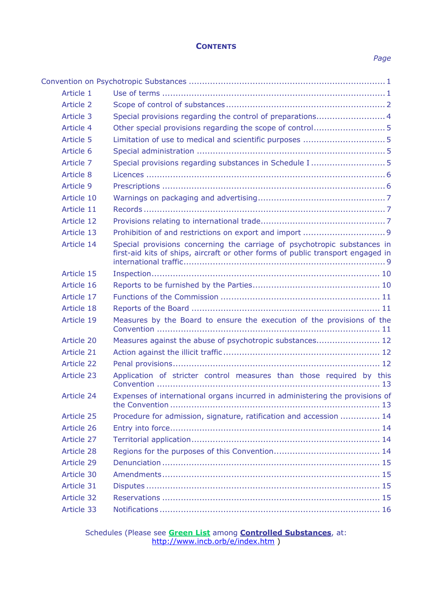# **CONTENTS**

# *Page*

| Article 1         |                                                                                                                                                             |
|-------------------|-------------------------------------------------------------------------------------------------------------------------------------------------------------|
| <b>Article 2</b>  |                                                                                                                                                             |
| Article 3         | Special provisions regarding the control of preparations4                                                                                                   |
| Article 4         |                                                                                                                                                             |
| Article 5         |                                                                                                                                                             |
| Article 6         |                                                                                                                                                             |
| Article 7         | Special provisions regarding substances in Schedule I  5                                                                                                    |
| Article 8         |                                                                                                                                                             |
| Article 9         |                                                                                                                                                             |
| Article 10        |                                                                                                                                                             |
| Article 11        |                                                                                                                                                             |
| Article 12        |                                                                                                                                                             |
| Article 13        |                                                                                                                                                             |
| Article 14        | Special provisions concerning the carriage of psychotropic substances in<br>first-aid kits of ships, aircraft or other forms of public transport engaged in |
| Article 15        |                                                                                                                                                             |
| Article 16        |                                                                                                                                                             |
| Article 17        |                                                                                                                                                             |
| Article 18        |                                                                                                                                                             |
| Article 19        | Measures by the Board to ensure the execution of the provisions of the                                                                                      |
| Article 20        | Measures against the abuse of psychotropic substances 12                                                                                                    |
| Article 21        |                                                                                                                                                             |
| <b>Article 22</b> |                                                                                                                                                             |
| Article 23        | Application of stricter control measures than those required by this                                                                                        |
| Article 24        | Expenses of international organs incurred in administering the provisions of                                                                                |
| Article 25        | Procedure for admission, signature, ratification and accession  14                                                                                          |
| Article 26        |                                                                                                                                                             |
| Article 27        |                                                                                                                                                             |
| Article 28        |                                                                                                                                                             |
| Article 29        |                                                                                                                                                             |
| Article 30        |                                                                                                                                                             |
| Article 31        |                                                                                                                                                             |
| Article 32        |                                                                                                                                                             |
| Article 33        |                                                                                                                                                             |

Schedules (Please see **Green List** among **Controlled Substances**, at: <http://www.incb.orb/e/index.htm> )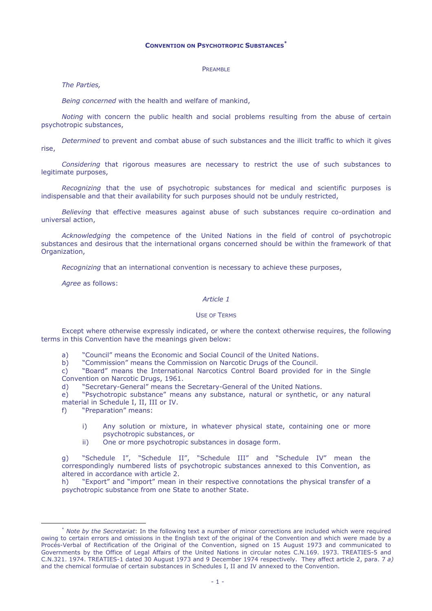# **CONVENTION ON PSYCHOTROPIC SUBSTANCES[\\*](#page-8-2)**

#### <span id="page-8-0"></span>PREAMBLE

#### *The Parties,*

*Being concerned* with the health and welfare of mankind,

*Noting* with concern the public health and social problems resulting from the abuse of certain psychotropic substances,

*Determined* to prevent and combat abuse of such substances and the illicit traffic to which it gives rise,

*Considering* that rigorous measures are necessary to restrict the use of such substances to legitimate purposes,

*Recognizing* that the use of psychotropic substances for medical and scientific purposes is indispensable and that their availability for such purposes should not be unduly restricted,

*Believing* that effective measures against abuse of such substances require co-ordination and universal action,

*Acknowledging* the competence of the United Nations in the field of control of psychotropic substances and desirous that the international organs concerned should be within the framework of that Organization,

*Recognizing* that an international convention is necessary to achieve these purposes,

*Agree* as follows:

#### <span id="page-8-1"></span>*Article 1*

#### USE OF TERMS

Except where otherwise expressly indicated, or where the context otherwise requires, the following terms in this Convention have the meanings given below:

a) "Council" means the Economic and Social Council of the United Nations.

b) "Commission" means the Commission on Narcotic Drugs of the Council.

c) "Board" means the International Narcotics Control Board provided for in the Single Convention on Narcotic Drugs, 1961.

d) "Secretary-General" means the Secretary-General of the United Nations.

e) "Psychotropic substance" means any substance, natural or synthetic, or any natural material in Schedule I, II, III or IV.

f) "Preparation" means:

 $\overline{a}$ 

- i) Any solution or mixture, in whatever physical state, containing one or more psychotropic substances, or
- ii) One or more psychotropic substances in dosage form.

g) "Schedule I", "Schedule II", "Schedule III" and "Schedule IV" mean the correspondingly numbered lists of psychotropic substances annexed to this Convention, as altered in accordance with article 2.

h) "Export" and "import" mean in their respective connotations the physical transfer of a psychotropic substance from one State to another State.

<span id="page-8-2"></span><sup>\*</sup> *Note by the Secretariat*: In the following text a number of minor corrections are included which were required owing to certain errors and omissions in the English text of the original of the Convention and which were made by a Procés-Verbal of Rectification of the Original of the Convention, signed on 15 August 1973 and communicated to Governments by the Office of Legal Affairs of the United Nations in circular notes C.N.169. 1973. TREATIES-5 and C.N.321. 1974. TREATIES-1 dated 30 August 1973 and 9 December 1974 respectively. They affect article 2, para. 7 *a)* and the chemical formulae of certain substances in Schedules I, II and IV annexed to the Convention.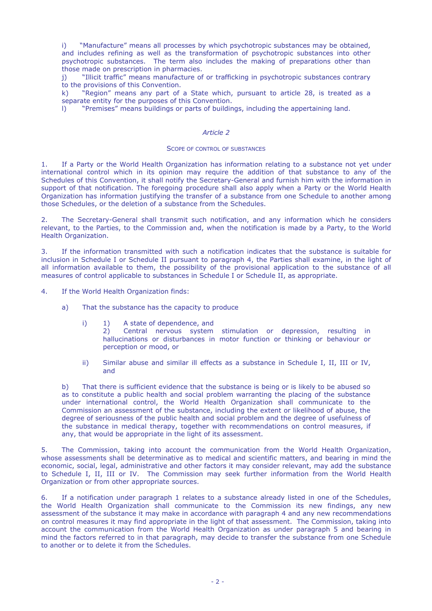i) "Manufacture" means all processes by which psychotropic substances may be obtained, and includes refining as well as the transformation of psychotropic substances into other psychotropic substances. The term also includes the making of preparations other than those made on prescription in pharmacies.

j) "Illicit traffic" means manufacture of or trafficking in psychotropic substances contrary to the provisions of this Convention.

k) "Region" means any part of a State which, pursuant to article 28, is treated as a separate entity for the purposes of this Convention.

l) "Premises" means buildings or parts of buildings, including the appertaining land.

# <span id="page-9-0"></span>*Article 2*

#### SCOPE OF CONTROL OF SUBSTANCES

1. If a Party or the World Health Organization has information relating to a substance not yet under international control which in its opinion may require the addition of that substance to any of the Schedules of this Convention, it shall notify the Secretary-General and furnish him with the information in support of that notification. The foregoing procedure shall also apply when a Party or the World Health Organization has information justifying the transfer of a substance from one Schedule to another among those Schedules, or the deletion of a substance from the Schedules.

2. The Secretary-General shall transmit such notification, and any information which he considers relevant, to the Parties, to the Commission and, when the notification is made by a Party, to the World Health Organization.

3. If the information transmitted with such a notification indicates that the substance is suitable for inclusion in Schedule I or Schedule II pursuant to paragraph 4, the Parties shall examine, in the light of all information available to them, the possibility of the provisional application to the substance of all measures of control applicable to substances in Schedule I or Schedule II, as appropriate.

4. If the World Health Organization finds:

- a) That the substance has the capacity to produce
	- i) 1) A state of dependence, and

2) Central nervous system stimulation or depression, resulting in hallucinations or disturbances in motor function or thinking or behaviour or perception or mood, or

ii) Similar abuse and similar ill effects as a substance in Schedule I, II, III or IV, and

b) That there is sufficient evidence that the substance is being or is likely to be abused so as to constitute a public health and social problem warranting the placing of the substance under international control, the World Health Organization shall communicate to the Commission an assessment of the substance, including the extent or likelihood of abuse, the degree of seriousness of the public health and social problem and the degree of usefulness of the substance in medical therapy, together with recommendations on control measures, if any, that would be appropriate in the light of its assessment.

5. The Commission, taking into account the communication from the World Health Organization, whose assessments shall be determinative as to medical and scientific matters, and bearing in mind the economic, social, legal, administrative and other factors it may consider relevant, may add the substance to Schedule I, II, III or IV. The Commission may seek further information from the World Health Organization or from other appropriate sources.

6. If a notification under paragraph 1 relates to a substance already listed in one of the Schedules, the World Health Organization shall communicate to the Commission its new findings, any new assessment of the substance it may make in accordance with paragraph 4 and any new recommendations on control measures it may find appropriate in the light of that assessment. The Commission, taking into account the communication from the World Health Organization as under paragraph 5 and bearing in mind the factors referred to in that paragraph, may decide to transfer the substance from one Schedule to another or to delete it from the Schedules.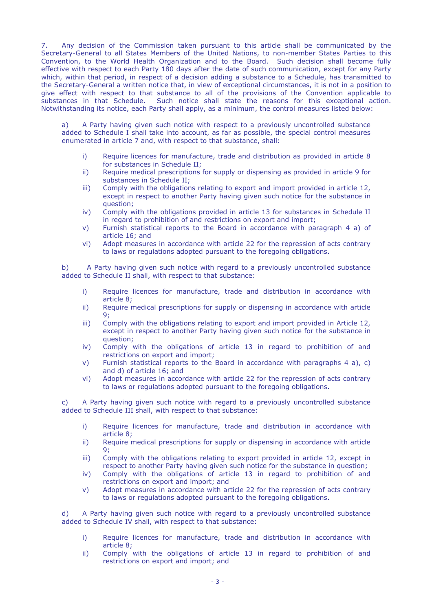7. Any decision of the Commission taken pursuant to this article shall be communicated by the Secretary-General to all States Members of the United Nations, to non-member States Parties to this Convention, to the World Health Organization and to the Board. Such decision shall become fully effective with respect to each Party 180 days after the date of such communication, except for any Party which, within that period, in respect of a decision adding a substance to a Schedule, has transmitted to the Secretary-General a written notice that, in view of exceptional circumstances, it is not in a position to give effect with respect to that substance to all of the provisions of the Convention applicable to substances in that Schedule. Such notice shall state the reasons for this exceptional action. Notwithstanding its notice, each Party shall apply, as a minimum, the control measures listed below:

a) A Party having given such notice with respect to a previously uncontrolled substance added to Schedule I shall take into account, as far as possible, the special control measures enumerated in article 7 and, with respect to that substance, shall:

- i) Require licences for manufacture, trade and distribution as provided in article 8 for substances in Schedule II;
- ii) Require medical prescriptions for supply or dispensing as provided in article 9 for substances in Schedule II;
- iii) Comply with the obligations relating to export and import provided in article 12, except in respect to another Party having given such notice for the substance in question;
- iv) Comply with the obligations provided in article 13 for substances in Schedule II in regard to prohibition of and restrictions on export and import;
- v) Furnish statistical reports to the Board in accordance with paragraph 4 a) of article 16; and
- vi) Adopt measures in accordance with article 22 for the repression of acts contrary to laws or regulations adopted pursuant to the foregoing obligations.

b) A Party having given such notice with regard to a previously uncontrolled substance added to Schedule II shall, with respect to that substance:

- i) Require licences for manufacture, trade and distribution in accordance with article 8;
- ii) Require medical prescriptions for supply or dispensing in accordance with article 9;
- iii) Comply with the obligations relating to export and import provided in Article 12, except in respect to another Party having given such notice for the substance in question;
- iv) Comply with the obligations of article 13 in regard to prohibition of and restrictions on export and import;
- v) Furnish statistical reports to the Board in accordance with paragraphs 4 a), c) and d) of article 16; and
- vi) Adopt measures in accordance with article 22 for the repression of acts contrary to laws or regulations adopted pursuant to the foregoing obligations.

c) A Party having given such notice with regard to a previously uncontrolled substance added to Schedule III shall, with respect to that substance:

- i) Require licences for manufacture, trade and distribution in accordance with article 8;
- ii) Require medical prescriptions for supply or dispensing in accordance with article 9;
- iii) Comply with the obligations relating to export provided in article 12, except in respect to another Party having given such notice for the substance in question;
- iv) Comply with the obligations of article 13 in regard to prohibition of and restrictions on export and import; and
- v) Adopt measures in accordance with article 22 for the repression of acts contrary to laws or regulations adopted pursuant to the foregoing obligations.

d) A Party having given such notice with regard to a previously uncontrolled substance added to Schedule IV shall, with respect to that substance:

- i) Require licences for manufacture, trade and distribution in accordance with article 8;
- ii) Comply with the obligations of article 13 in regard to prohibition of and restrictions on export and import; and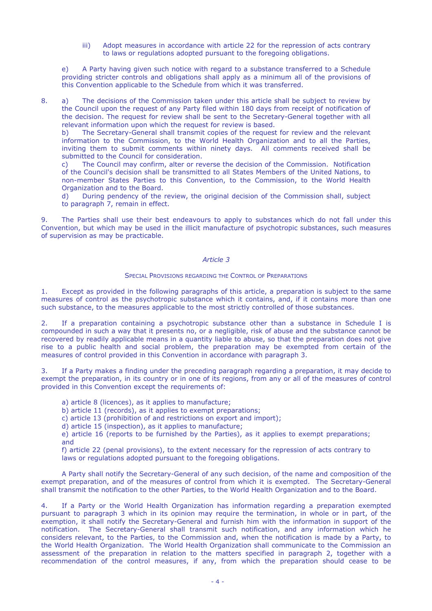iii) Adopt measures in accordance with article 22 for the repression of acts contrary to laws or regulations adopted pursuant to the foregoing obligations.

e) A Party having given such notice with regard to a substance transferred to a Schedule providing stricter controls and obligations shall apply as a minimum all of the provisions of this Convention applicable to the Schedule from which it was transferred.

8. a) The decisions of the Commission taken under this article shall be subject to review by the Council upon the request of any Party filed within 180 days from receipt of notification of the decision. The request for review shall be sent to the Secretary-General together with all relevant information upon which the request for review is based.

b) The Secretary-General shall transmit copies of the request for review and the relevant information to the Commission, to the World Health Organization and to all the Parties, inviting them to submit comments within ninety days. All comments received shall be submitted to the Council for consideration.

c) The Council may confirm, alter or reverse the decision of the Commission. Notification of the Council's decision shall be transmitted to all States Members of the United Nations, to non-member States Parties to this Convention, to the Commission, to the World Health Organization and to the Board.

d) During pendency of the review, the original decision of the Commission shall, subject to paragraph 7, remain in effect.

9. The Parties shall use their best endeavours to apply to substances which do not fall under this Convention, but which may be used in the illicit manufacture of psychotropic substances, such measures of supervision as may be practicable.

# <span id="page-11-0"></span>*Article 3*

# SPECIAL PROVISIONS REGARDING THE CONTROL OF PREPARATIONS

1. Except as provided in the following paragraphs of this article, a preparation is subject to the same measures of control as the psychotropic substance which it contains, and, if it contains more than one such substance, to the measures applicable to the most strictly controlled of those substances.

2. If a preparation containing a psychotropic substance other than a substance in Schedule I is compounded in such a way that it presents no, or a negligible, risk of abuse and the substance cannot be recovered by readily applicable means in a quantity liable to abuse, so that the preparation does not give rise to a public health and social problem, the preparation may be exempted from certain of the measures of control provided in this Convention in accordance with paragraph 3.

3. If a Party makes a finding under the preceding paragraph regarding a preparation, it may decide to exempt the preparation, in its country or in one of its regions, from any or all of the measures of control provided in this Convention except the requirements of:

- a) article 8 (licences), as it applies to manufacture;
- b) article 11 (records), as it applies to exempt preparations;

c) article 13 (prohibition of and restrictions on export and import);

d) article 15 (inspection), as it applies to manufacture;

e) article 16 (reports to be furnished by the Parties), as it applies to exempt preparations; and

f) article 22 (penal provisions), to the extent necessary for the repression of acts contrary to laws or regulations adopted pursuant to the foregoing obligations.

A Party shall notify the Secretary-General of any such decision, of the name and composition of the exempt preparation, and of the measures of control from which it is exempted. The Secretary-General shall transmit the notification to the other Parties, to the World Health Organization and to the Board.

4. If a Party or the World Health Organization has information regarding a preparation exempted pursuant to paragraph 3 which in its opinion may require the termination, in whole or in part, of the exemption, it shall notify the Secretary-General and furnish him with the information in support of the notification. The Secretary-General shall transmit such notification, and any information which he considers relevant, to the Parties, to the Commission and, when the notification is made by a Party, to the World Health Organization. The World Health Organization shall communicate to the Commission an assessment of the preparation in relation to the matters specified in paragraph 2, together with a recommendation of the control measures, if any, from which the preparation should cease to be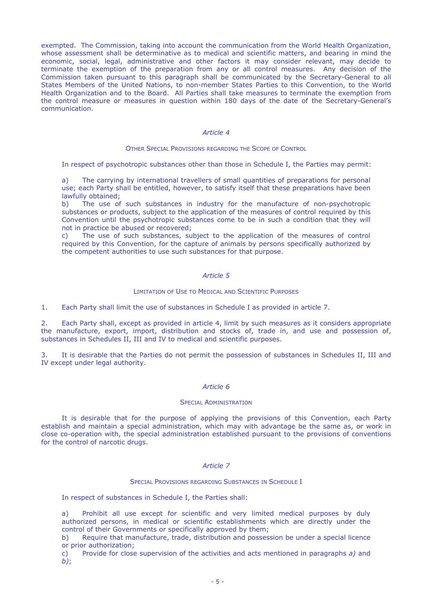exempted. The Commission, taking into account the communication from the World Health Organization, whose assessment shall be determinative as to medical and scientific matters, and bearing in mind the economic, social, legal, administrative and other factors it may consider relevant, may decide to terminate the exemption of the preparation from any or all control measures. Any decision of the Commission taken pursuant to this paragraph shall be communicated by the Secretary-General to all States Members of the United Nations, to non-member States Parties to this Convention, to the World Health Organization and to the Board. All Parties shall take measures to terminate the exemption from the control measure or measures in question within 180 days of the date of the Secretary-General's communication.

## <span id="page-12-0"></span>*Article 4*

#### OTHER SPECIAL PROVISIONS REGARDING THE SCOPE OF CONTROL

In respect of psychotropic substances other than those in Schedule I, the Parties may permit:

a) The carrying by international travellers of small quantities of preparations for personal use; each Party shall be entitled, however, to satisfy itself that these preparations have been lawfully obtained;

b) The use of such substances in industry for the manufacture of non-psychotropic substances or products, subject to the application of the measures of control required by this Convention until the psychotropic substances come to be in such a condition that they will not in practice be abused or recovered;

c) The use of such substances, subject to the application of the measures of control required by this Convention, for the capture of animals by persons specifically authorized by the competent authorities to use such substances for that purpose.

# <span id="page-12-1"></span>*Article 5*

#### LIMITATION OF USE TO MEDICAL AND SCIENTIFIC PURPOSES

1. Each Party shall limit the use of substances in Schedule I as provided in article 7.

2. Each Party shall, except as provided in article 4, limit by such measures as it considers appropriate the manufacture, export, import, distribution and stocks of, trade in, and use and possession of, substances in Schedules II, III and IV to medical and scientific purposes.

3. It is desirable that the Parties do not permit the possession of substances in Schedules II, III and IV except under legal authority.

# <span id="page-12-2"></span>*Article 6*

# SPECIAL ADMINISTRATION

It is desirable that for the purpose of applying the provisions of this Convention, each Party establish and maintain a special administration, which may with advantage be the same as, or work in close co-operation with, the special administration established pursuant to the provisions of conventions for the control of narcotic drugs.

## <span id="page-12-3"></span>*Article 7*

# SPECIAL PROVISIONS REGARDING SUBSTANCES IN SCHEDULE I

In respect of substances in Schedule I, the Parties shall:

a) Prohibit all use except for scientific and very limited medical purposes by duly authorized persons, in medical or scientific establishments which are directly under the control of their Governments or specifically approved by them;

b) Require that manufacture, trade, distribution and possession be under a special licence or prior authorization;

c) Provide for close supervision of the activities and acts mentioned in paragraphs *a)* and *b)*;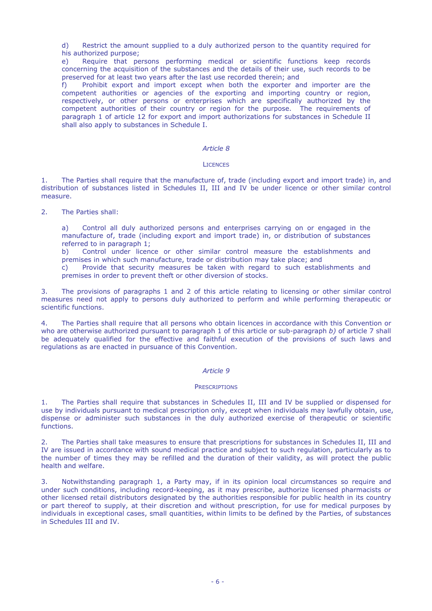d) Restrict the amount supplied to a duly authorized person to the quantity required for his authorized purpose;

e) Require that persons performing medical or scientific functions keep records concerning the acquisition of the substances and the details of their use, such records to be preserved for at least two years after the last use recorded therein; and

f) Prohibit export and import except when both the exporter and importer are the competent authorities or agencies of the exporting and importing country or region, respectively, or other persons or enterprises which are specifically authorized by the competent authorities of their country or region for the purpose. The requirements of paragraph 1 of article 12 for export and import authorizations for substances in Schedule II shall also apply to substances in Schedule I.

# <span id="page-13-0"></span>*Article 8*

#### LICENCES

1. The Parties shall require that the manufacture of, trade (including export and import trade) in, and distribution of substances listed in Schedules II, III and IV be under licence or other similar control measure.

2. The Parties shall:

a) Control all duly authorized persons and enterprises carrying on or engaged in the manufacture of, trade (including export and import trade) in, or distribution of substances referred to in paragraph 1;

b) Control under licence or other similar control measure the establishments and premises in which such manufacture, trade or distribution may take place; and

c) Provide that security measures be taken with regard to such establishments and premises in order to prevent theft or other diversion of stocks.

3. The provisions of paragraphs 1 and 2 of this article relating to licensing or other similar control measures need not apply to persons duly authorized to perform and while performing therapeutic or scientific functions.

4. The Parties shall require that all persons who obtain licences in accordance with this Convention or who are otherwise authorized pursuant to paragraph 1 of this article or sub-paragraph *b)* of article 7 shall be adequately qualified for the effective and faithful execution of the provisions of such laws and regulations as are enacted in pursuance of this Convention.

# <span id="page-13-1"></span>*Article 9*

# **PRESCRIPTIONS**

1. The Parties shall require that substances in Schedules II, III and IV be supplied or dispensed for use by individuals pursuant to medical prescription only, except when individuals may lawfully obtain, use, dispense or administer such substances in the duly authorized exercise of therapeutic or scientific functions.

2. The Parties shall take measures to ensure that prescriptions for substances in Schedules II, III and IV are issued in accordance with sound medical practice and subject to such regulation, particularly as to the number of times they may be refilled and the duration of their validity, as will protect the public health and welfare.

3. Notwithstanding paragraph 1, a Party may, if in its opinion local circumstances so require and under such conditions, including record-keeping, as it may prescribe, authorize licensed pharmacists or other licensed retail distributors designated by the authorities responsible for public health in its country or part thereof to supply, at their discretion and without prescription, for use for medical purposes by individuals in exceptional cases, small quantities, within limits to be defined by the Parties, of substances in Schedules III and IV.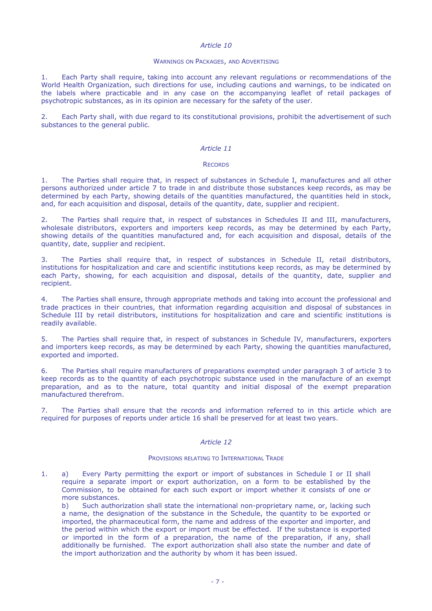# <span id="page-14-0"></span>*Article 10*

#### WARNINGS ON PACKAGES, AND ADVERTISING

1. Each Party shall require, taking into account any relevant regulations or recommendations of the World Health Organization, such directions for use, including cautions and warnings, to be indicated on the labels where practicable and in any case on the accompanying leaflet of retail packages of psychotropic substances, as in its opinion are necessary for the safety of the user.

2. Each Party shall, with due regard to its constitutional provisions, prohibit the advertisement of such substances to the general public.

# <span id="page-14-1"></span>*Article 11*

# **RECORDS**

1. The Parties shall require that, in respect of substances in Schedule I, manufactures and all other persons authorized under article 7 to trade in and distribute those substances keep records, as may be determined by each Party, showing details of the quantities manufactured, the quantities held in stock, and, for each acquisition and disposal, details of the quantity, date, supplier and recipient.

2. The Parties shall require that, in respect of substances in Schedules II and III, manufacturers, wholesale distributors, exporters and importers keep records, as may be determined by each Party, showing details of the quantities manufactured and, for each acquisition and disposal, details of the quantity, date, supplier and recipient.

3. The Parties shall require that, in respect of substances in Schedule II, retail distributors, institutions for hospitalization and care and scientific institutions keep records, as may be determined by each Party, showing, for each acquisition and disposal, details of the quantity, date, supplier and recipient.

4. The Parties shall ensure, through appropriate methods and taking into account the professional and trade practices in their countries, that information regarding acquisition and disposal of substances in Schedule III by retail distributors, institutions for hospitalization and care and scientific institutions is readily available.

5. The Parties shall require that, in respect of substances in Schedule IV, manufacturers, exporters and importers keep records, as may be determined by each Party, showing the quantities manufactured, exported and imported.

6. The Parties shall require manufacturers of preparations exempted under paragraph 3 of article 3 to keep records as to the quantity of each psychotropic substance used in the manufacture of an exempt preparation, and as to the nature, total quantity and initial disposal of the exempt preparation manufactured therefrom.

7. The Parties shall ensure that the records and information referred to in this article which are required for purposes of reports under article 16 shall be preserved for at least two years.

# <span id="page-14-2"></span>*Article 12*

#### PROVISIONS RELATING TO INTERNATIONAL TRADE

1. a) Every Party permitting the export or import of substances in Schedule I or II shall require a separate import or export authorization, on a form to be established by the Commission, to be obtained for each such export or import whether it consists of one or more substances.

b) Such authorization shall state the international non-proprietary name, or, lacking such a name, the designation of the substance in the Schedule, the quantity to be exported or imported, the pharmaceutical form, the name and address of the exporter and importer, and the period within which the export or import must be effected. If the substance is exported or imported in the form of a preparation, the name of the preparation, if any, shall additionally be furnished. The export authorization shall also state the number and date of the import authorization and the authority by whom it has been issued.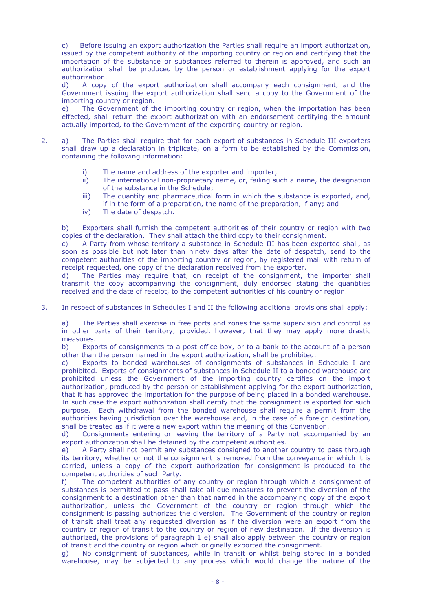c) Before issuing an export authorization the Parties shall require an import authorization, issued by the competent authority of the importing country or region and certifying that the importation of the substance or substances referred to therein is approved, and such an authorization shall be produced by the person or establishment applying for the export authorization.

d) A copy of the export authorization shall accompany each consignment, and the Government issuing the export authorization shall send a copy to the Government of the importing country or region.

e) The Government of the importing country or region, when the importation has been effected, shall return the export authorization with an endorsement certifying the amount actually imported, to the Government of the exporting country or region.

- 2. a) The Parties shall require that for each export of substances in Schedule III exporters shall draw up a declaration in triplicate, on a form to be established by the Commission, containing the following information:
	- i) The name and address of the exporter and importer;
	- ii) The international non-proprietary name, or, failing such a name, the designation of the substance in the Schedule;
	- iii) The quantity and pharmaceutical form in which the substance is exported, and, if in the form of a preparation, the name of the preparation, if any; and
	- iv) The date of despatch.

b) Exporters shall furnish the competent authorities of their country or region with two copies of the declaration. They shall attach the third copy to their consignment.

c) A Party from whose territory a substance in Schedule III has been exported shall, as soon as possible but not later than ninety days after the date of despatch, send to the competent authorities of the importing country or region, by registered mail with return of receipt requested, one copy of the declaration received from the exporter.

d) The Parties may require that, on receipt of the consignment, the importer shall transmit the copy accompanying the consignment, duly endorsed stating the quantities received and the date of receipt, to the competent authorities of his country or region.

3. In respect of substances in Schedules I and II the following additional provisions shall apply:

a) The Parties shall exercise in free ports and zones the same supervision and control as in other parts of their territory, provided, however, that they may apply more drastic measures.

b) Exports of consignments to a post office box, or to a bank to the account of a person other than the person named in the export authorization, shall be prohibited.

c) Exports to bonded warehouses of consignments of substances in Schedule I are prohibited. Exports of consignments of substances in Schedule II to a bonded warehouse are prohibited unless the Government of the importing country certifies on the import authorization, produced by the person or establishment applying for the export authorization, that it has approved the importation for the purpose of being placed in a bonded warehouse. In such case the export authorization shall certify that the consignment is exported for such purpose. Each withdrawal from the bonded warehouse shall require a permit from the authorities having jurisdiction over the warehouse and, in the case of a foreign destination, shall be treated as if it were a new export within the meaning of this Convention.

d) Consignments entering or leaving the territory of a Party not accompanied by an export authorization shall be detained by the competent authorities.

e) A Party shall not permit any substances consigned to another country to pass through its territory, whether or not the consignment is removed from the conveyance in which it is carried, unless a copy of the export authorization for consignment is produced to the competent authorities of such Party.

f) The competent authorities of any country or region through which a consignment of substances is permitted to pass shall take all due measures to prevent the diversion of the consignment to a destination other than that named in the accompanying copy of the export authorization, unless the Government of the country or region through which the consignment is passing authorizes the diversion. The Government of the country or region of transit shall treat any requested diversion as if the diversion were an export from the country or region of transit to the country or region of new destination. If the diversion is authorized, the provisions of paragraph 1 e) shall also apply between the country or region of transit and the country or region which originally exported the consignment.

g) No consignment of substances, while in transit or whilst being stored in a bonded warehouse, may be subjected to any process which would change the nature of the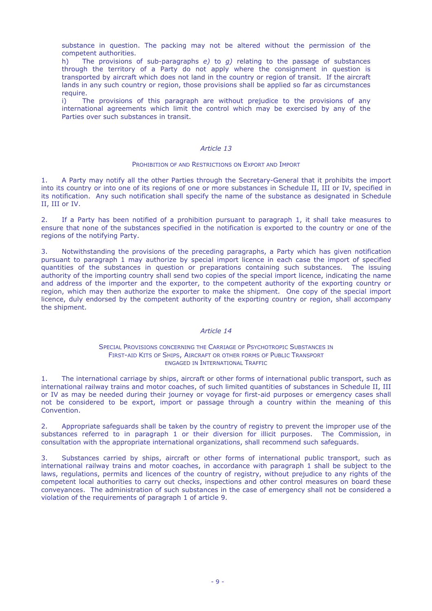substance in question. The packing may not be altered without the permission of the competent authorities.

h) The provisions of sub-paragraphs *e)* to *g)* relating to the passage of substances through the territory of a Party do not apply where the consignment in question is transported by aircraft which does not land in the country or region of transit. If the aircraft lands in any such country or region, those provisions shall be applied so far as circumstances require.

i) The provisions of this paragraph are without prejudice to the provisions of any international agreements which limit the control which may be exercised by any of the Parties over such substances in transit.

# <span id="page-16-0"></span>*Article 13*

# PROHIBITION OF AND RESTRICTIONS ON EXPORT AND IMPORT

1. A Party may notify all the other Parties through the Secretary-General that it prohibits the import into its country or into one of its regions of one or more substances in Schedule II, III or IV, specified in its notification. Any such notification shall specify the name of the substance as designated in Schedule II, III or IV.

2. If a Party has been notified of a prohibition pursuant to paragraph 1, it shall take measures to ensure that none of the substances specified in the notification is exported to the country or one of the regions of the notifying Party.

3. Notwithstanding the provisions of the preceding paragraphs, a Party which has given notification pursuant to paragraph 1 may authorize by special import licence in each case the import of specified quantities of the substances in question or preparations containing such substances. The issuing authority of the importing country shall send two copies of the special import licence, indicating the name and address of the importer and the exporter, to the competent authority of the exporting country or region, which may then authorize the exporter to make the shipment. One copy of the special import licence, duly endorsed by the competent authority of the exporting country or region, shall accompany the shipment.

# <span id="page-16-1"></span>*Article 14*

## SPECIAL PROVISIONS CONCERNING THE CARRIAGE OF PSYCHOTROPIC SUBSTANCES IN FIRST-AID KITS OF SHIPS, AIRCRAFT OR OTHER FORMS OF PUBLIC TRANSPORT ENGAGED IN INTERNATIONAL TRAFFIC

1. The international carriage by ships, aircraft or other forms of international public transport, such as international railway trains and motor coaches, of such limited quantities of substances in Schedule II, III or IV as may be needed during their journey or voyage for first-aid purposes or emergency cases shall not be considered to be export, import or passage through a country within the meaning of this Convention.

2. Appropriate safeguards shall be taken by the country of registry to prevent the improper use of the substances referred to in paragraph 1 or their diversion for illicit purposes. The Commission, in consultation with the appropriate international organizations, shall recommend such safeguards.

3. Substances carried by ships, aircraft or other forms of international public transport, such as international railway trains and motor coaches, in accordance with paragraph 1 shall be subject to the laws, regulations, permits and licences of the country of registry, without prejudice to any rights of the competent local authorities to carry out checks, inspections and other control measures on board these conveyances. The administration of such substances in the case of emergency shall not be considered a violation of the requirements of paragraph 1 of article 9.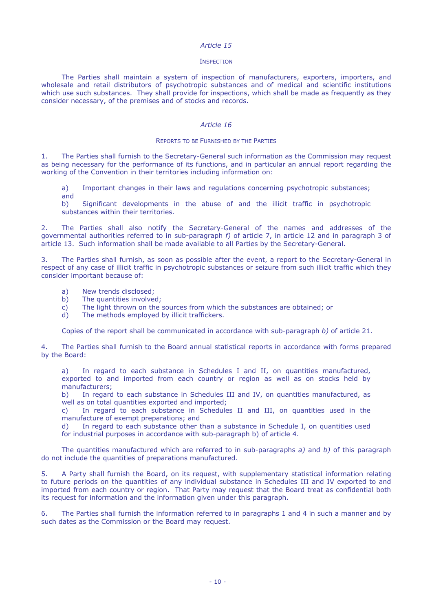# <span id="page-17-0"></span>*Article 15*

#### **INSPECTION**

The Parties shall maintain a system of inspection of manufacturers, exporters, importers, and wholesale and retail distributors of psychotropic substances and of medical and scientific institutions which use such substances. They shall provide for inspections, which shall be made as frequently as they consider necessary, of the premises and of stocks and records.

# <span id="page-17-1"></span>*Article 16*

# REPORTS TO BE FURNISHED BY THE PARTIES

1. The Parties shall furnish to the Secretary-General such information as the Commission may request as being necessary for the performance of its functions, and in particular an annual report regarding the working of the Convention in their territories including information on:

a) Important changes in their laws and regulations concerning psychotropic substances; and

b) Significant developments in the abuse of and the illicit traffic in psychotropic substances within their territories.

2. The Parties shall also notify the Secretary-General of the names and addresses of the governmental authorities referred to in sub-paragraph *f)* of article 7, in article 12 and in paragraph 3 of article 13. Such information shall be made available to all Parties by the Secretary-General.

3. The Parties shall furnish, as soon as possible after the event, a report to the Secretary-General in respect of any case of illicit traffic in psychotropic substances or seizure from such illicit traffic which they consider important because of:

- a) New trends disclosed;
- b) The quantities involved;
- c) The light thrown on the sources from which the substances are obtained; or
- d) The methods employed by illicit traffickers.

Copies of the report shall be communicated in accordance with sub-paragraph *b)* of article 21.

4. The Parties shall furnish to the Board annual statistical reports in accordance with forms prepared by the Board:

a) In regard to each substance in Schedules I and II, on quantities manufactured, exported to and imported from each country or region as well as on stocks held by manufacturers;

b) In regard to each substance in Schedules III and IV, on quantities manufactured, as well as on total quantities exported and imported;

c) In regard to each substance in Schedules II and III, on quantities used in the manufacture of exempt preparations; and

d) In regard to each substance other than a substance in Schedule I, on quantities used for industrial purposes in accordance with sub-paragraph b) of article 4.

The quantities manufactured which are referred to in sub-paragraphs *a)* and *b)* of this paragraph do not include the quantities of preparations manufactured.

5. A Party shall furnish the Board, on its request, with supplementary statistical information relating to future periods on the quantities of any individual substance in Schedules III and IV exported to and imported from each country or region. That Party may request that the Board treat as confidential both its request for information and the information given under this paragraph.

6. The Parties shall furnish the information referred to in paragraphs 1 and 4 in such a manner and by such dates as the Commission or the Board may request.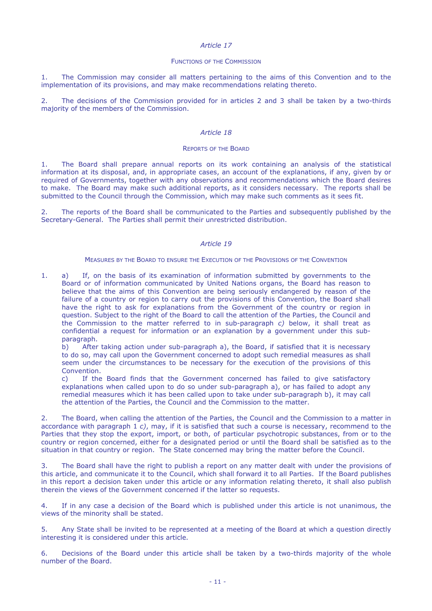# <span id="page-18-0"></span>*Article 17*

#### FUNCTIONS OF THE COMMISSION

1. The Commission may consider all matters pertaining to the aims of this Convention and to the implementation of its provisions, and may make recommendations relating thereto.

2. The decisions of the Commission provided for in articles 2 and 3 shall be taken by a two-thirds majority of the members of the Commission.

# <span id="page-18-1"></span>*Article 18*

## REPORTS OF THE BOARD

1. The Board shall prepare annual reports on its work containing an analysis of the statistical information at its disposal, and, in appropriate cases, an account of the explanations, if any, given by or required of Governments, together with any observations and recommendations which the Board desires to make. The Board may make such additional reports, as it considers necessary. The reports shall be submitted to the Council through the Commission, which may make such comments as it sees fit.

2. The reports of the Board shall be communicated to the Parties and subsequently published by the Secretary-General. The Parties shall permit their unrestricted distribution.

# <span id="page-18-2"></span>*Article 19*

# MEASURES BY THE BOARD TO ENSURE THE EXECUTION OF THE PROVISIONS OF THE CONVENTION

1. a) If, on the basis of its examination of information submitted by governments to the Board or of information communicated by United Nations organs, the Board has reason to believe that the aims of this Convention are being seriously endangered by reason of the failure of a country or region to carry out the provisions of this Convention, the Board shall have the right to ask for explanations from the Government of the country or region in question. Subject to the right of the Board to call the attention of the Parties, the Council and the Commission to the matter referred to in sub-paragraph *c)* below, it shall treat as confidential a request for information or an explanation by a government under this subparagraph.

b) After taking action under sub-paragraph a), the Board, if satisfied that it is necessary to do so, may call upon the Government concerned to adopt such remedial measures as shall seem under the circumstances to be necessary for the execution of the provisions of this Convention.

c) If the Board finds that the Government concerned has failed to give satisfactory explanations when called upon to do so under sub-paragraph a), or has failed to adopt any remedial measures which it has been called upon to take under sub-paragraph b), it may call the attention of the Parties, the Council and the Commission to the matter.

2. The Board, when calling the attention of the Parties, the Council and the Commission to a matter in accordance with paragraph 1 *c)*, may, if it is satisfied that such a course is necessary, recommend to the Parties that they stop the export, import, or both, of particular psychotropic substances, from or to the country or region concerned, either for a designated period or until the Board shall be satisfied as to the situation in that country or region. The State concerned may bring the matter before the Council.

3. The Board shall have the right to publish a report on any matter dealt with under the provisions of this article, and communicate it to the Council, which shall forward it to all Parties. If the Board publishes in this report a decision taken under this article or any information relating thereto, it shall also publish therein the views of the Government concerned if the latter so requests.

4. If in any case a decision of the Board which is published under this article is not unanimous, the views of the minority shall be stated.

5. Any State shall be invited to be represented at a meeting of the Board at which a question directly interesting it is considered under this article.

6. Decisions of the Board under this article shall be taken by a two-thirds majority of the whole number of the Board.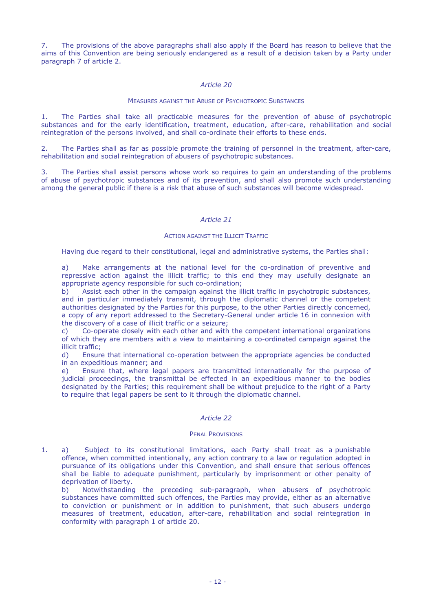7. The provisions of the above paragraphs shall also apply if the Board has reason to believe that the aims of this Convention are being seriously endangered as a result of a decision taken by a Party under paragraph 7 of article 2.

# <span id="page-19-0"></span>*Article 20*

#### MEASURES AGAINST THE ABUSE OF PSYCHOTROPIC SUBSTANCES

1. The Parties shall take all practicable measures for the prevention of abuse of psychotropic substances and for the early identification, treatment, education, after-care, rehabilitation and social reintegration of the persons involved, and shall co-ordinate their efforts to these ends.

2. The Parties shall as far as possible promote the training of personnel in the treatment, after-care, rehabilitation and social reintegration of abusers of psychotropic substances.

3. The Parties shall assist persons whose work so requires to gain an understanding of the problems of abuse of psychotropic substances and of its prevention, and shall also promote such understanding among the general public if there is a risk that abuse of such substances will become widespread.

# <span id="page-19-1"></span>*Article 21*

#### ACTION AGAINST THE ILLICIT TRAFFIC

Having due regard to their constitutional, legal and administrative systems, the Parties shall:

a) Make arrangements at the national level for the co-ordination of preventive and repressive action against the illicit traffic; to this end they may usefully designate an appropriate agency responsible for such co-ordination;

b) Assist each other in the campaign against the illicit traffic in psychotropic substances. and in particular immediately transmit, through the diplomatic channel or the competent authorities designated by the Parties for this purpose, to the other Parties directly concerned, a copy of any report addressed to the Secretary-General under article 16 in connexion with the discovery of a case of illicit traffic or a seizure;

c) Co-operate closely with each other and with the competent international organizations of which they are members with a view to maintaining a co-ordinated campaign against the illicit traffic;

d) Ensure that international co-operation between the appropriate agencies be conducted in an expeditious manner; and

e) Ensure that, where legal papers are transmitted internationally for the purpose of judicial proceedings, the transmittal be effected in an expeditious manner to the bodies designated by the Parties; this requirement shall be without prejudice to the right of a Party to require that legal papers be sent to it through the diplomatic channel.

# <span id="page-19-2"></span>*Article 22*

# PENAL PROVISIONS

1. a) Subject to its constitutional limitations, each Party shall treat as a punishable offence, when committed intentionally, any action contrary to a law or regulation adopted in pursuance of its obligations under this Convention, and shall ensure that serious offences shall be liable to adequate punishment, particularly by imprisonment or other penalty of deprivation of liberty.

b) Notwithstanding the preceding sub-paragraph, when abusers of psychotropic substances have committed such offences, the Parties may provide, either as an alternative to conviction or punishment or in addition to punishment, that such abusers undergo measures of treatment, education, after-care, rehabilitation and social reintegration in conformity with paragraph 1 of article 20.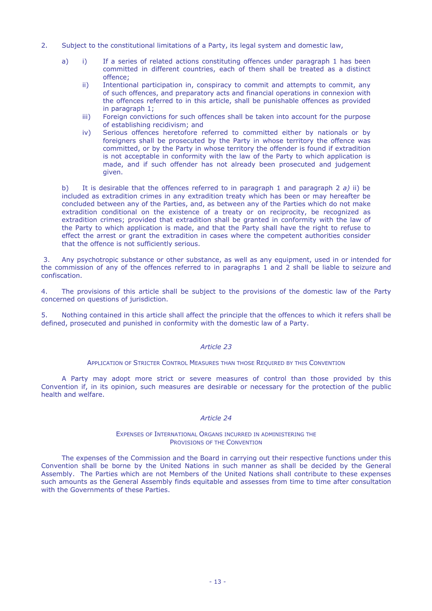- 2. Subject to the constitutional limitations of a Party, its legal system and domestic law,
	- a) i) If a series of related actions constituting offences under paragraph 1 has been committed in different countries, each of them shall be treated as a distinct offence;
		- ii) Intentional participation in, conspiracy to commit and attempts to commit, any of such offences, and preparatory acts and financial operations in connexion with the offences referred to in this article, shall be punishable offences as provided in paragraph 1;
		- iii) Foreign convictions for such offences shall be taken into account for the purpose of establishing recidivism; and
		- iv) Serious offences heretofore referred to committed either by nationals or by foreigners shall be prosecuted by the Party in whose territory the offence was committed, or by the Party in whose territory the offender is found if extradition is not acceptable in conformity with the law of the Party to which application is made, and if such offender has not already been prosecuted and judgement given.

b) It is desirable that the offences referred to in paragraph 1 and paragraph 2 *a)* ii) be included as extradition crimes in any extradition treaty which has been or may hereafter be concluded between any of the Parties, and, as between any of the Parties which do not make extradition conditional on the existence of a treaty or on reciprocity, be recognized as extradition crimes; provided that extradition shall be granted in conformity with the law of the Party to which application is made, and that the Party shall have the right to refuse to effect the arrest or grant the extradition in cases where the competent authorities consider that the offence is not sufficiently serious.

3. Any psychotropic substance or other substance, as well as any equipment, used in or intended for the commission of any of the offences referred to in paragraphs 1 and 2 shall be liable to seizure and confiscation.

4. The provisions of this article shall be subject to the provisions of the domestic law of the Party concerned on questions of jurisdiction.

5. Nothing contained in this article shall affect the principle that the offences to which it refers shall be defined, prosecuted and punished in conformity with the domestic law of a Party.

# <span id="page-20-0"></span>*Article 23*

#### APPLICATION OF STRICTER CONTROL MEASURES THAN THOSE REQUIRED BY THIS CONVENTION

A Party may adopt more strict or severe measures of control than those provided by this Convention if, in its opinion, such measures are desirable or necessary for the protection of the public health and welfare.

# <span id="page-20-1"></span>*Article 24*

#### EXPENSES OF INTERNATIONAL ORGANS INCURRED IN ADMINISTERING THE PROVISIONS OF THE CONVENTION

The expenses of the Commission and the Board in carrying out their respective functions under this Convention shall be borne by the United Nations in such manner as shall be decided by the General Assembly. The Parties which are not Members of the United Nations shall contribute to these expenses such amounts as the General Assembly finds equitable and assesses from time to time after consultation with the Governments of these Parties.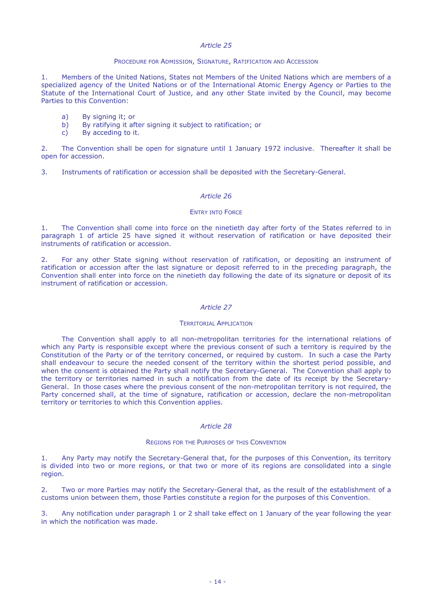# <span id="page-21-0"></span>*Article 25*

#### PROCEDURE FOR ADMISSION, SIGNATURE, RATIFICATION AND ACCESSION

1. Members of the United Nations, States not Members of the United Nations which are members of a specialized agency of the United Nations or of the International Atomic Energy Agency or Parties to the Statute of the International Court of Justice, and any other State invited by the Council, may become Parties to this Convention:

- a) By signing it; or
- b) By ratifying it after signing it subject to ratification; or
- c) By acceding to it.

2. The Convention shall be open for signature until 1 January 1972 inclusive. Thereafter it shall be open for accession.

3. Instruments of ratification or accession shall be deposited with the Secretary-General.

# <span id="page-21-1"></span>*Article 26*

# ENTRY INTO FORCE

1. The Convention shall come into force on the ninetieth day after forty of the States referred to in paragraph 1 of article 25 have signed it without reservation of ratification or have deposited their instruments of ratification or accession.

2. For any other State signing without reservation of ratification, or depositing an instrument of ratification or accession after the last signature or deposit referred to in the preceding paragraph, the Convention shall enter into force on the ninetieth day following the date of its signature or deposit of its instrument of ratification or accession.

# <span id="page-21-2"></span>*Article 27*

# TERRITORIAL APPLICATION

The Convention shall apply to all non-metropolitan territories for the international relations of which any Party is responsible except where the previous consent of such a territory is required by the Constitution of the Party or of the territory concerned, or required by custom. In such a case the Party shall endeavour to secure the needed consent of the territory within the shortest period possible, and when the consent is obtained the Party shall notify the Secretary-General. The Convention shall apply to the territory or territories named in such a notification from the date of its receipt by the Secretary-General. In those cases where the previous consent of the non-metropolitan territory is not required, the Party concerned shall, at the time of signature, ratification or accession, declare the non-metropolitan territory or territories to which this Convention applies.

# <span id="page-21-3"></span>*Article 28*

# REGIONS FOR THE PURPOSES OF THIS CONVENTION

1. Any Party may notify the Secretary-General that, for the purposes of this Convention, its territory is divided into two or more regions, or that two or more of its regions are consolidated into a single region.

2. Two or more Parties may notify the Secretary-General that, as the result of the establishment of a customs union between them, those Parties constitute a region for the purposes of this Convention.

Any notification under paragraph 1 or 2 shall take effect on 1 January of the year following the year in which the notification was made.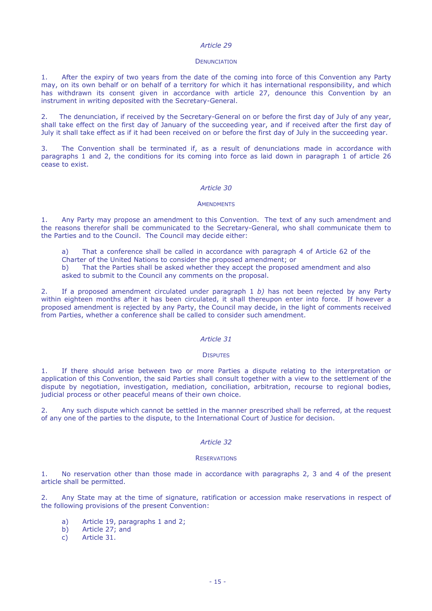# <span id="page-22-0"></span>*Article 29*

#### **DENUNCIATION**

1. After the expiry of two years from the date of the coming into force of this Convention any Party may, on its own behalf or on behalf of a territory for which it has international responsibility, and which has withdrawn its consent given in accordance with article 27, denounce this Convention by an instrument in writing deposited with the Secretary-General.

2. The denunciation, if received by the Secretary-General on or before the first day of July of any year, shall take effect on the first day of January of the succeeding year, and if received after the first day of July it shall take effect as if it had been received on or before the first day of July in the succeeding year.

3. The Convention shall be terminated if, as a result of denunciations made in accordance with paragraphs 1 and 2, the conditions for its coming into force as laid down in paragraph 1 of article 26 cease to exist.

# <span id="page-22-1"></span>*Article 30*

#### **AMENDMENTS**

1. Any Party may propose an amendment to this Convention. The text of any such amendment and the reasons therefor shall be communicated to the Secretary-General, who shall communicate them to the Parties and to the Council. The Council may decide either:

a) That a conference shall be called in accordance with paragraph 4 of Article 62 of the Charter of the United Nations to consider the proposed amendment; or b) That the Parties shall be asked whether they accept the proposed amendment and also

asked to submit to the Council any comments on the proposal.

2. If a proposed amendment circulated under paragraph 1 *b)* has not been rejected by any Party within eighteen months after it has been circulated, it shall thereupon enter into force. If however a proposed amendment is rejected by any Party, the Council may decide, in the light of comments received from Parties, whether a conference shall be called to consider such amendment.

# <span id="page-22-2"></span>*Article 31*

## **DISPUTES**

1. If there should arise between two or more Parties a dispute relating to the interpretation or application of this Convention, the said Parties shall consult together with a view to the settlement of the dispute by negotiation, investigation, mediation, conciliation, arbitration, recourse to regional bodies, judicial process or other peaceful means of their own choice.

2. Any such dispute which cannot be settled in the manner prescribed shall be referred, at the request of any one of the parties to the dispute, to the International Court of Justice for decision.

#### <span id="page-22-3"></span>*Article 32*

#### **RESERVATIONS**

1. No reservation other than those made in accordance with paragraphs 2, 3 and 4 of the present article shall be permitted.

2. Any State may at the time of signature, ratification or accession make reservations in respect of the following provisions of the present Convention:

- a) Article 19, paragraphs 1 and 2;
- b) Article 27; and
- c) Article 31.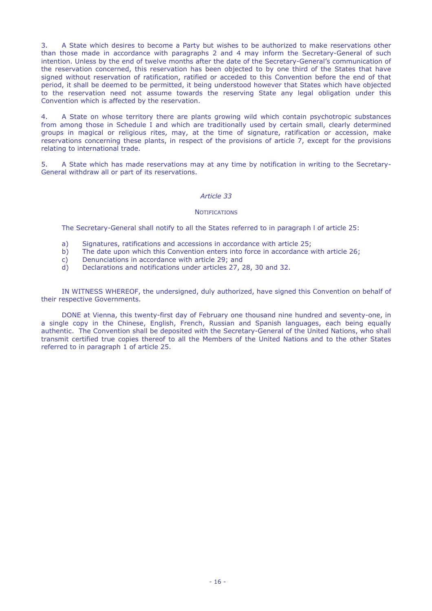3. A State which desires to become a Party but wishes to be authorized to make reservations other than those made in accordance with paragraphs 2 and 4 may inform the Secretary-General of such intention. Unless by the end of twelve months after the date of the Secretary-General's communication of the reservation concerned, this reservation has been objected to by one third of the States that have signed without reservation of ratification, ratified or acceded to this Convention before the end of that period, it shall be deemed to be permitted, it being understood however that States which have objected to the reservation need not assume towards the reserving State any legal obligation under this Convention which is affected by the reservation.

4. A State on whose territory there are plants growing wild which contain psychotropic substances from among those in Schedule I and which are traditionally used by certain small, clearly determined groups in magical or religious rites, may, at the time of signature, ratification or accession, make reservations concerning these plants, in respect of the provisions of article 7, except for the provisions relating to international trade.

5. A State which has made reservations may at any time by notification in writing to the Secretary-General withdraw all or part of its reservations.

# <span id="page-23-0"></span>*Article 33*

# **NOTIFICATIONS**

The Secretary-General shall notify to all the States referred to in paragraph l of article 25:

- a) Signatures, ratifications and accessions in accordance with article 25;
- b) The date upon which this Convention enters into force in accordance with article 26;
- c) Denunciations in accordance with article 29; and
- d) Declarations and notifications under articles 27, 28, 30 and 32.

IN WITNESS WHEREOF, the undersigned, duly authorized, have signed this Convention on behalf of their respective Governments.

DONE at Vienna, this twenty-first day of February one thousand nine hundred and seventy-one, in a single copy in the Chinese, English, French, Russian and Spanish languages, each being equally authentic. The Convention shall be deposited with the Secretary-General of the United Nations, who shall transmit certified true copies thereof to all the Members of the United Nations and to the other States referred to in paragraph 1 of article 25.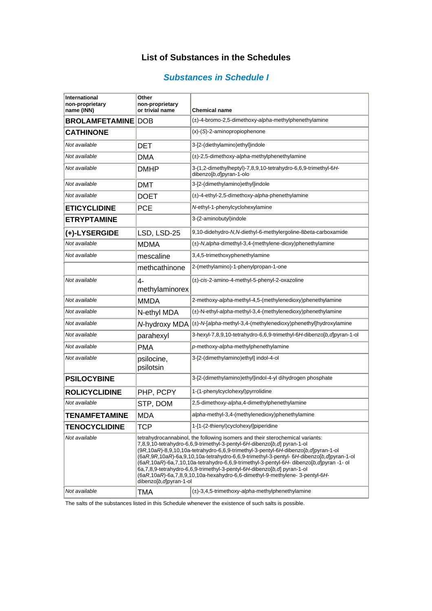# **List of Substances in the Schedules**

# *Substances in Schedule I*

| International<br>non-proprietary<br>name (INN) | Other<br>non-proprietary<br>or trivial name                                                                                                                                                                                                                                                                                                                                                                                                                                                                                                                                                                             | <b>Chemical name</b>                                                                      |
|------------------------------------------------|-------------------------------------------------------------------------------------------------------------------------------------------------------------------------------------------------------------------------------------------------------------------------------------------------------------------------------------------------------------------------------------------------------------------------------------------------------------------------------------------------------------------------------------------------------------------------------------------------------------------------|-------------------------------------------------------------------------------------------|
| <b>BROLAMFETAMINE DOB</b>                      |                                                                                                                                                                                                                                                                                                                                                                                                                                                                                                                                                                                                                         | (±)-4-bromo-2,5-dimethoxy-alpha-methylphenethylamine                                      |
| <b>CATHINONE</b>                               |                                                                                                                                                                                                                                                                                                                                                                                                                                                                                                                                                                                                                         | $(x)$ - $(S)$ -2-aminopropiophenone                                                       |
| Not available                                  | DET                                                                                                                                                                                                                                                                                                                                                                                                                                                                                                                                                                                                                     | 3-[2-(diethylamino)ethyl]indole                                                           |
| Not available                                  | DMA                                                                                                                                                                                                                                                                                                                                                                                                                                                                                                                                                                                                                     | (±)-2,5-dimethoxy-alpha-methylphenethylamine                                              |
| Not available                                  | <b>DMHP</b>                                                                                                                                                                                                                                                                                                                                                                                                                                                                                                                                                                                                             | 3-(1,2-dimethylheptyl)-7,8,9,10-tetrahydro-6,6,9-trimethyl-6H-<br>dibenzo[b,d]pyran-1-olo |
| Not available                                  | DMT                                                                                                                                                                                                                                                                                                                                                                                                                                                                                                                                                                                                                     | 3-[2-(dimethylamino)ethyl]indole                                                          |
| Not available                                  | <b>DOET</b>                                                                                                                                                                                                                                                                                                                                                                                                                                                                                                                                                                                                             | (±)-4-ethyl-2,5-dimethoxy-alpha-phenethylamine                                            |
| <b>ETICYCLIDINE</b>                            | <b>PCE</b>                                                                                                                                                                                                                                                                                                                                                                                                                                                                                                                                                                                                              | N-ethyl-1-phenylcyclohexylamine                                                           |
| <b>ETRYPTAMINE</b>                             |                                                                                                                                                                                                                                                                                                                                                                                                                                                                                                                                                                                                                         | 3-(2-aminobutyl)indole                                                                    |
| (+)-LYSERGIDE                                  | LSD, LSD-25                                                                                                                                                                                                                                                                                                                                                                                                                                                                                                                                                                                                             | 9,10-didehydro-N,N-diethyl-6-methylergoline-8beta-carboxamide                             |
| Not available                                  | <b>MDMA</b>                                                                                                                                                                                                                                                                                                                                                                                                                                                                                                                                                                                                             | (±)-N,alpha-dimethyl-3,4-(methylene-dioxy)phenethylamine                                  |
| Not available                                  | mescaline                                                                                                                                                                                                                                                                                                                                                                                                                                                                                                                                                                                                               | 3,4,5-trimethoxyphenethylamine                                                            |
|                                                | methcathinone                                                                                                                                                                                                                                                                                                                                                                                                                                                                                                                                                                                                           | 2-(methylamino)-1-phenylpropan-1-one                                                      |
| Not available                                  | 4-<br>methylaminorex                                                                                                                                                                                                                                                                                                                                                                                                                                                                                                                                                                                                    | (±)-cis-2-amino-4-methyl-5-phenyl-2-oxazoline                                             |
| Not available                                  | <b>MMDA</b>                                                                                                                                                                                                                                                                                                                                                                                                                                                                                                                                                                                                             | 2-methoxy-alpha-methyl-4,5-(methylenedioxy)phenethylamine                                 |
| Not available                                  | N-ethyl MDA                                                                                                                                                                                                                                                                                                                                                                                                                                                                                                                                                                                                             | (±)-N-ethyl-alpha-methyl-3,4-(methylenedioxy)phenethylamine                               |
| Not available                                  | N-hydroxy MDA                                                                                                                                                                                                                                                                                                                                                                                                                                                                                                                                                                                                           | (±)-N-[alpha-methyl-3,4-(methylenedioxy)phenethyl]hydroxylamine                           |
| Not available                                  | parahexyl                                                                                                                                                                                                                                                                                                                                                                                                                                                                                                                                                                                                               | 3-hexyl-7,8,9,10-tetrahydro-6,6,9-trimethyl-6H-dibenzo[b,d]pyran-1-ol                     |
| Not available                                  | <b>PMA</b>                                                                                                                                                                                                                                                                                                                                                                                                                                                                                                                                                                                                              | p-methoxy-alpha-methylphenethylamine                                                      |
| Not available                                  | psilocine,<br>psilotsin                                                                                                                                                                                                                                                                                                                                                                                                                                                                                                                                                                                                 | 3-[2-(dimethylamino)ethyl] indol-4-ol                                                     |
| <b>PSILOCYBINE</b>                             |                                                                                                                                                                                                                                                                                                                                                                                                                                                                                                                                                                                                                         | 3-[2-(dimethylamino)ethyl]indol-4-yl dihydrogen phosphate                                 |
| <b>ROLICYCLIDINE</b>                           | PHP, PCPY                                                                                                                                                                                                                                                                                                                                                                                                                                                                                                                                                                                                               | 1-(1-phenylcyclohexyl)pyrrolidine                                                         |
| Not available                                  | STP, DOM                                                                                                                                                                                                                                                                                                                                                                                                                                                                                                                                                                                                                | 2,5-dimethoxy-alpha,4-dimethylphenethylamine                                              |
| TENAMFETAMINE                                  | MDA                                                                                                                                                                                                                                                                                                                                                                                                                                                                                                                                                                                                                     | alpha-methyl-3,4-(methylenedioxy)phenethylamine                                           |
| <b>TENOCYCLIDINE</b>                           | <b>TCP</b>                                                                                                                                                                                                                                                                                                                                                                                                                                                                                                                                                                                                              | 1-[1-(2-thienyl)cyclohexyl]piperidine                                                     |
| Not available                                  | tetrahydrocannabinol, the following isomers and their sterochemical variants:<br>7,8,9,10-tetrahydro-6,6,9-trimethyl-3-pentyl-6H-dibenzo[b,d] pyran-1-ol<br>(9R,10aR)-8,9,10,10a-tetrahydro-6,6,9-trimethyl-3-pentyl-6H-dibenzo[b,d]pyran-1-ol<br>(6aR,9R,10aR)-6a,9,10,10a-tetrahydro-6,6,9-trimethyl-3-pentyl-6H-dibenzo[b,d]pyran-1-ol<br>(6aR,10aR)-6a,7,10,10a-tetrahydro-6,6,9-trimethyl-3-pentyl-6H- dibenzo[b,d]pyran -1- ol<br>6a.7.8.9-tetrahydro-6.6.9-trimethyl-3-pentyl-6H-dibenzo[b,d] pyran-1-ol<br>(6aR,10aR)-6a,7,8,9,10,10a-hexahydro-6,6-dimethyl-9-methylene-3-pentyl-6H-<br>dibenzo[b,d]pyran-1-ol |                                                                                           |
| Not available                                  | <b>TMA</b>                                                                                                                                                                                                                                                                                                                                                                                                                                                                                                                                                                                                              | $(\pm)$ -3,4,5-trimethoxy-alpha-methylphenethylamine                                      |

The salts of the substances listed in this Schedule whenever the existence of such salts is possible.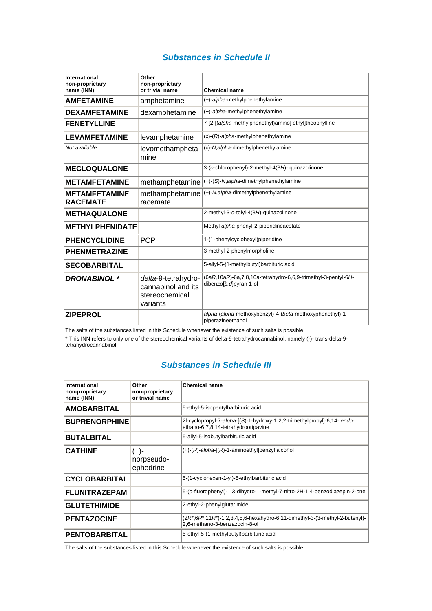# *Substances in Schedule II*

| International<br>non-proprietary<br>name (INN) | Other<br>non-proprietary<br>or trivial name                             | <b>Chemical name</b>                                                                    |
|------------------------------------------------|-------------------------------------------------------------------------|-----------------------------------------------------------------------------------------|
| <b>AMFETAMINE</b>                              | amphetamine                                                             | (±)-alpha-methylphenethylamine                                                          |
| <b>DEXAMFETAMINE</b>                           | dexamphetamine                                                          | (+)-alpha-methylphenethylamine                                                          |
| <b>FENETYLLINE</b>                             |                                                                         | 7-[2-[(alpha-methylphenethyl)amino] ethyl]theophylline                                  |
| <b>LEVAMFETAMINE</b>                           | levamphetamine                                                          | $(x)-(R)$ -alpha-methylphenethylamine                                                   |
| Not available                                  | levomethampheta-<br>mine                                                | (x)-N, alpha-dimethylphenethylamine                                                     |
| <b>MECLOQUALONE</b>                            |                                                                         | 3-(o-chlorophenyl)-2-methyl-4(3H)- quinazolinone                                        |
| <b>METAMFETAMINE</b>                           | methamphetamine                                                         | (+)-(S)-N,alpha-dimethylphenethylamine                                                  |
| <b>METAMFETAMINE</b><br><b>RACEMATE</b>        | methamphetamine<br>racemate                                             | $(\pm)$ -N, alpha-dimethylphenethylamine                                                |
| <b>METHAQUALONE</b>                            |                                                                         | 2-methyl-3-o-tolyl-4(3H)-quinazolinone                                                  |
| <b>METHYLPHENIDATE</b>                         |                                                                         | Methyl alpha-phenyl-2-piperidineacetate                                                 |
| <b>PHENCYCLIDINE</b>                           | <b>PCP</b>                                                              | 1-(1-phenylcyclohexyl)piperidine                                                        |
| <b>PHENMETRAZINE</b>                           |                                                                         | 3-methyl-2-phenylmorpholine                                                             |
| <b>SECOBARBITAL</b>                            |                                                                         | 5-allyl-5-(1-methylbutyl)barbituric acid                                                |
| <b>DRONABINOL *</b>                            | delta-9-tetrahydro-<br>cannabinol and its<br>stereochemical<br>variants | (6aR,10aR)-6a,7,8,10a-tetrahydro-6,6,9-trimethyl-3-pentyl-6H-<br>dibenzo[b,d]pyran-1-ol |
| <b>ZIPEPROL</b>                                |                                                                         | alpha-(alpha-methoxybenzyl)-4-(beta-methoxyphenethyl)-1-<br>piperazineethanol           |

The salts of the substances listed in this Schedule whenever the existence of such salts is possible.

\* This INN refers to only one of the stereochemical variants of delta-9-tetrahydrocannabinol, namely (-)- trans-delta-9 tetrahydrocannabinol.

# *Substances in Schedule III*

| International<br>non-proprietary<br>name (INN) | Other<br>non-proprietary<br>or trivial name | <b>Chemical name</b>                                                                                                |
|------------------------------------------------|---------------------------------------------|---------------------------------------------------------------------------------------------------------------------|
| <b>AMOBARBITAL</b>                             |                                             | 5-ethyl-5-isopentylbarbituric acid                                                                                  |
| <b>BUPRENORPHINE</b>                           |                                             | 2l-cyclopropyl-7-alpha-[(S)-1-hydroxy-1,2,2-trimethylpropyl]-6,14- endo-<br>ethano-6,7,8,14-tetrahydrooripavine     |
| <b>BUTALBITAL</b>                              |                                             | 5-allyl-5-isobutylbarbituric acid                                                                                   |
| <b>CATHINE</b>                                 | $(+)$ -<br>norpseudo-<br>ephedrine          | $(+)$ - $(R)$ -alpha- $[(R)$ -1-aminoethyl]benzyl alcohol                                                           |
| <b>CYCLOBARBITAL</b>                           |                                             | 5-(1-cyclohexen-1-yl)-5-ethylbarbituric acid                                                                        |
| <b>FLUNITRAZEPAM</b>                           |                                             | 5-(o-fluorophenyl)-1,3-dihydro-1-methyl-7-nitro-2H-1,4-benzodiazepin-2-one                                          |
| <b>GLUTETHIMIDE</b>                            |                                             | 2-ethyl-2-phenylglutarimide                                                                                         |
| <b>PENTAZOCINE</b>                             |                                             | $(2R^*, 6R^*, 11R^*)$ -1,2,3,4,5,6-hexahydro-6,11-dimethyl-3-(3-methyl-2-butenyl)-<br>2,6-methano-3-benzazocin-8-ol |
| <b>PENTOBARBITAL</b>                           |                                             | 5-ethyl-5-(1-methylbutyl)barbituric acid                                                                            |

The salts of the substances listed in this Schedule whenever the existence of such salts is possible.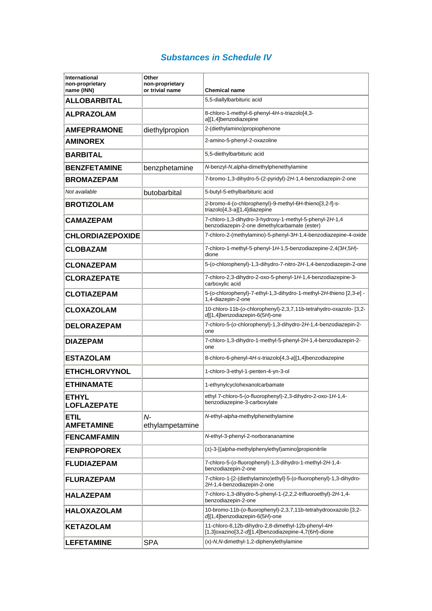# *Substances in Schedule IV*

| International<br>non-proprietary<br>name (INN) | Other<br>non-proprietary<br>or trivial name | <b>Chemical name</b>                                                                                                   |
|------------------------------------------------|---------------------------------------------|------------------------------------------------------------------------------------------------------------------------|
| <b>ALLOBARBITAL</b>                            |                                             | 5,5-diallylbarbituric acid                                                                                             |
| <b>ALPRAZOLAM</b>                              |                                             | 8-chloro-1-methyl-6-phenyl-4H-s-triazolo[4,3-<br>al[1,4]benzodiazepine                                                 |
| <b>AMFEPRAMONE</b>                             | diethylpropion                              | 2-(diethylamino)propiophenone                                                                                          |
| <b>AMINOREX</b>                                |                                             | 2-amino-5-phenyl-2-oxazoline                                                                                           |
| <b>BARBITAL</b>                                |                                             | 5,5-diethylbarbituric acid                                                                                             |
| <b>BENZFETAMINE</b>                            | benzphetamine                               | N-benzyl-N, alpha-dimethylphenethylamine                                                                               |
| <b>BROMAZEPAM</b>                              |                                             | 7-bromo-1,3-dihydro-5-(2-pyridyl)-2H-1,4-benzodiazepin-2-one                                                           |
| Not available                                  | butobarbital                                | 5-butyl-5-ethylbarbituric acid                                                                                         |
| <b>BROTIZOLAM</b>                              |                                             | 2-bromo-4-(o-chlorophenyl)-9-methyl-6H-thieno[3,2-f]-s-<br>triazolo[4,3-a][1,4]diazepine                               |
| <b>CAMAZEPAM</b>                               |                                             | 7-chloro-1,3-dihydro-3-hydroxy-1-methyl-5-phenyl-2H-1,4<br>benzodiazepin-2-one dimethylcarbamate (ester)               |
| <b>CHLORDIAZEPOXIDE</b>                        |                                             | 7-chloro-2-(methylamino)-5-phenyl-3H-1,4-benzodiazepine-4-oxide                                                        |
| <b>CLOBAZAM</b>                                |                                             | 7-chloro-1-methyl-5-phenyl-1H-1,5-benzodiazepine-2,4(3H,5H)-<br>dione                                                  |
| <b>CLONAZEPAM</b>                              |                                             | 5-(o-chlorophenyl)-1,3-dihydro-7-nitro-2H-1,4-benzodiazepin-2-one                                                      |
| <b>CLORAZEPATE</b>                             |                                             | 7-chloro-2,3-dihydro-2-oxo-5-phenyl-1H-1,4-benzodiazepine-3-<br>carboxylic acid                                        |
| <b>CLOTIAZEPAM</b>                             |                                             | 5-(o-chlorophenyl)-7-ethyl-1,3-dihydro-1-methyl-2H-thieno [2,3-e] -<br>1,4-diazepin-2-one                              |
| <b>CLOXAZOLAM</b>                              |                                             | 10-chloro-11b-(o-chlorophenyl)-2,3,7,11b-tetrahydro-oxazolo- [3,2-<br>d[1,4]benzodiazepin-6(5H)-one                    |
| <b>DELORAZEPAM</b>                             |                                             | 7-chloro-5-(o-chlorophenyl)-1,3-dihydro-2H-1,4-benzodiazepin-2-<br>one                                                 |
| <b>DIAZEPAM</b>                                |                                             | 7-chloro-1,3-dihydro-1-methyl-5-phenyl-2H-1,4-benzodiazepin-2-<br>one                                                  |
| <b>ESTAZOLAM</b>                               |                                             | 8-chloro-6-phenyl-4H-s-triazolo[4,3-a][1,4]benzodiazepine                                                              |
| <b>ETHCHLORVYNOL</b>                           |                                             | 1-chloro-3-ethyl-1-penten-4-yn-3-ol                                                                                    |
| <b>ETHINAMATE</b>                              |                                             | 1-ethynylcyclohexanolcarbamate                                                                                         |
| <b>ETHYL</b><br><b>LOFLAZEPATE</b>             |                                             | ethyl 7-chloro-5-(o-fluorophenyl)-2,3-dihydro-2-oxo-1H-1,4-<br>benzodiazepine-3-carboxylate                            |
| <b>ETIL</b><br><b>AMFETAMINE</b>               | $N-$<br>ethylampetamine                     | N-ethyl-alpha-methylphenethylamine                                                                                     |
| <b>FENCAMFAMIN</b>                             |                                             | N-ethyl-3-phenyl-2-norborananamine                                                                                     |
| <b>FENPROPOREX</b>                             |                                             | $(\pm)$ -3-[(alpha-methylphenylethyl)amino]propionitrile                                                               |
| <b>FLUDIAZEPAM</b>                             |                                             | 7-chloro-5-(o-fluorophenyl)-1,3-dihydro-1-methyl-2H-1,4-<br>benzodiazepin-2-one                                        |
| <b>FLURAZEPAM</b>                              |                                             | 7-chloro-1-[2-(diethylamino)ethyl]-5-(o-fluorophenyl)-1,3-dihydro-<br>2H-1.4-benzodiazepin-2-one                       |
| HALAZEPAM                                      |                                             | 7-chloro-1,3-dihydro-5-phenyl-1-(2,2,2-trifluoroethyl)-2H-1,4-<br>benzodiazepin-2-one                                  |
| <b>HALOXAZOLAM</b>                             |                                             | 10-bromo-11b-(o-fluorophenyl)-2,3,7,11b-tetrahydrooxazolo [3,2-<br>d][1,4]benzodiazepin-6(5H)-one                      |
| <b>KETAZOLAM</b>                               |                                             | 11-chloro-8,12b-dihydro-2,8-dimethyl-12b-phenyl-4H-<br>$[1,3]$ oxazino $[3,2-d][1,4]$ benzodiazepine-4,7 $(6H)$ -dione |
| <b>LEFETAMINE</b>                              | SPA                                         | (x)-N,N-dimethyl-1,2-diphenylethylamine                                                                                |